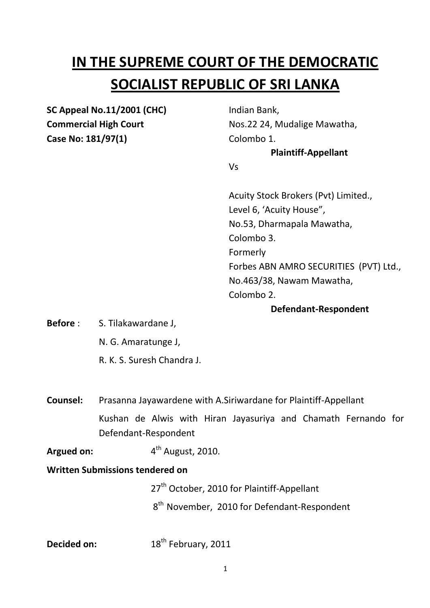# **IN THE SUPREME COURT OF THE DEMOCRATIC SOCIALIST REPUBLIC OF SRI LANKA**

**SC Appeal No.11/2001 (CHC)** Indian Bank, **Case No: 181/97(1)** Colombo 1.

**Commercial High Court** Nos.22 24, Mudalige Mawatha,

### **Plaintiff-Appellant**

Vs

Acuity Stock Brokers (Pvt) Limited., Level 6, 'Acuity House", No.53, Dharmapala Mawatha, Colombo 3. Formerly Forbes ABN AMRO SECURITIES (PVT) Ltd., No.463/38, Nawam Mawatha, Colombo 2.

## **Defendant-Respondent**

- **Before** : S. Tilakawardane J,
	- N. G. Amaratunge J,
	- R. K. S. Suresh Chandra J.

**Counsel:** Prasanna Jayawardene with A.Siriwardane for Plaintiff-Appellant Kushan de Alwis with Hiran Jayasuriya and Chamath Fernando for Defendant-Respondent

Argued on:  $4<sup>th</sup>$  August, 2010.

### **Written Submissions tendered on**

27<sup>th</sup> October, 2010 for Plaintiff-Appellant

8 and 3 and 3 and 3 and 3 and 3 and 3 and 3 and 3 and 3 and 3 and 3 and 3 and 3 and 3 and 3 and 3 and 3 and 3  $8<sup>th</sup>$  November, 2010 for Defendant-Respondent

**Decided on:** 18<sup>th</sup> February, 2011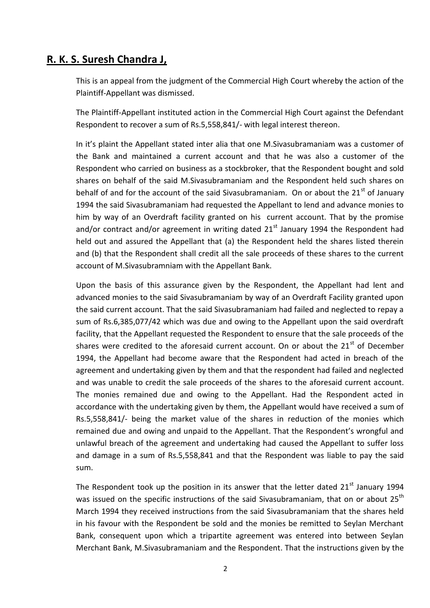## **R. K. S. Suresh Chandra J,**

This is an appeal from the judgment of the Commercial High Court whereby the action of the Plaintiff-Appellant was dismissed.

The Plaintiff-Appellant instituted action in the Commercial High Court against the Defendant Respondent to recover a sum of Rs.5,558,841/- with legal interest thereon.

In it's plaint the Appellant stated inter alia that one M.Sivasubramaniam was a customer of the Bank and maintained a current account and that he was also a customer of the Respondent who carried on business as a stockbroker, that the Respondent bought and sold shares on behalf of the said M.Sivasubramaniam and the Respondent held such shares on behalf of and for the account of the said Sivasubramaniam. On or about the  $21<sup>st</sup>$  of January 1994 the said Sivasubramaniam had requested the Appellant to lend and advance monies to him by way of an Overdraft facility granted on his current account. That by the promise and/or contract and/or agreement in writing dated  $21<sup>st</sup>$  January 1994 the Respondent had held out and assured the Appellant that (a) the Respondent held the shares listed therein and (b) that the Respondent shall credit all the sale proceeds of these shares to the current account of M.Sivasubramniam with the Appellant Bank.

Upon the basis of this assurance given by the Respondent, the Appellant had lent and advanced monies to the said Sivasubramaniam by way of an Overdraft Facility granted upon the said current account. That the said Sivasubramaniam had failed and neglected to repay a sum of Rs.6,385,077/42 which was due and owing to the Appellant upon the said overdraft facility, that the Appellant requested the Respondent to ensure that the sale proceeds of the shares were credited to the aforesaid current account. On or about the  $21<sup>st</sup>$  of December 1994, the Appellant had become aware that the Respondent had acted in breach of the agreement and undertaking given by them and that the respondent had failed and neglected and was unable to credit the sale proceeds of the shares to the aforesaid current account. The monies remained due and owing to the Appellant. Had the Respondent acted in accordance with the undertaking given by them, the Appellant would have received a sum of Rs.5,558,841/- being the market value of the shares in reduction of the monies which remained due and owing and unpaid to the Appellant. That the Respondent's wrongful and unlawful breach of the agreement and undertaking had caused the Appellant to suffer loss and damage in a sum of Rs.5,558,841 and that the Respondent was liable to pay the said sum.

The Respondent took up the position in its answer that the letter dated  $21<sup>st</sup>$  January 1994 was issued on the specific instructions of the said Sivasubramaniam, that on or about 25<sup>th</sup> March 1994 they received instructions from the said Sivasubramaniam that the shares held in his favour with the Respondent be sold and the monies be remitted to Seylan Merchant Bank, consequent upon which a tripartite agreement was entered into between Seylan Merchant Bank, M.Sivasubramaniam and the Respondent. That the instructions given by the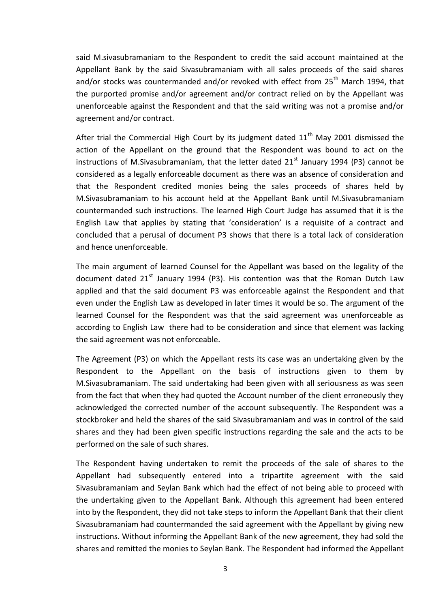said M.sivasubramaniam to the Respondent to credit the said account maintained at the Appellant Bank by the said Sivasubramaniam with all sales proceeds of the said shares and/or stocks was countermanded and/or revoked with effect from  $25<sup>th</sup>$  March 1994, that the purported promise and/or agreement and/or contract relied on by the Appellant was unenforceable against the Respondent and that the said writing was not a promise and/or agreement and/or contract.

After trial the Commercial High Court by its judgment dated  $11<sup>th</sup>$  May 2001 dismissed the action of the Appellant on the ground that the Respondent was bound to act on the instructions of M.Sivasubramaniam, that the letter dated  $21<sup>st</sup>$  January 1994 (P3) cannot be considered as a legally enforceable document as there was an absence of consideration and that the Respondent credited monies being the sales proceeds of shares held by M.Sivasubramaniam to his account held at the Appellant Bank until M.Sivasubramaniam countermanded such instructions. The learned High Court Judge has assumed that it is the English Law that applies by stating that 'consideration' is a requisite of a contract and concluded that a perusal of document P3 shows that there is a total lack of consideration and hence unenforceable.

The main argument of learned Counsel for the Appellant was based on the legality of the document dated  $21^{st}$  January 1994 (P3). His contention was that the Roman Dutch Law applied and that the said document P3 was enforceable against the Respondent and that even under the English Law as developed in later times it would be so. The argument of the learned Counsel for the Respondent was that the said agreement was unenforceable as according to English Law there had to be consideration and since that element was lacking the said agreement was not enforceable.

The Agreement (P3) on which the Appellant rests its case was an undertaking given by the Respondent to the Appellant on the basis of instructions given to them by M.Sivasubramaniam. The said undertaking had been given with all seriousness as was seen from the fact that when they had quoted the Account number of the client erroneously they acknowledged the corrected number of the account subsequently. The Respondent was a stockbroker and held the shares of the said Sivasubramaniam and was in control of the said shares and they had been given specific instructions regarding the sale and the acts to be performed on the sale of such shares.

The Respondent having undertaken to remit the proceeds of the sale of shares to the Appellant had subsequently entered into a tripartite agreement with the said Sivasubramaniam and Seylan Bank which had the effect of not being able to proceed with the undertaking given to the Appellant Bank. Although this agreement had been entered into by the Respondent, they did not take steps to inform the Appellant Bank that their client Sivasubramaniam had countermanded the said agreement with the Appellant by giving new instructions. Without informing the Appellant Bank of the new agreement, they had sold the shares and remitted the monies to Seylan Bank. The Respondent had informed the Appellant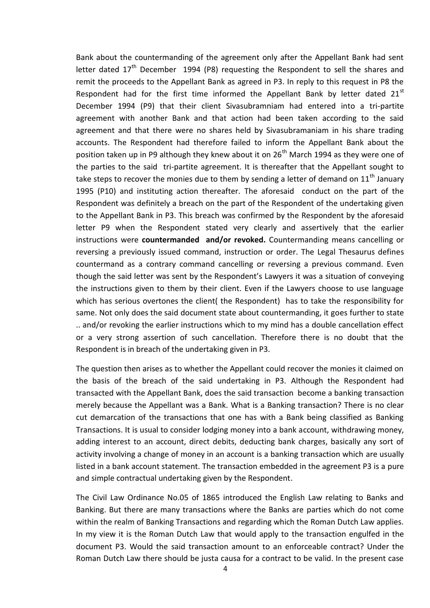Bank about the countermanding of the agreement only after the Appellant Bank had sent letter dated  $17<sup>th</sup>$  December 1994 (P8) requesting the Respondent to sell the shares and remit the proceeds to the Appellant Bank as agreed in P3. In reply to this request in P8 the Respondent had for the first time informed the Appellant Bank by letter dated  $21<sup>st</sup>$ December 1994 (P9) that their client Sivasubramniam had entered into a tri-partite agreement with another Bank and that action had been taken according to the said agreement and that there were no shares held by Sivasubramaniam in his share trading accounts. The Respondent had therefore failed to inform the Appellant Bank about the position taken up in P9 although they knew about it on  $26<sup>th</sup>$  March 1994 as they were one of the parties to the said tri-partite agreement. It is thereafter that the Appellant sought to take steps to recover the monies due to them by sending a letter of demand on  $11<sup>th</sup>$  January 1995 (P10) and instituting action thereafter. The aforesaid conduct on the part of the Respondent was definitely a breach on the part of the Respondent of the undertaking given to the Appellant Bank in P3. This breach was confirmed by the Respondent by the aforesaid letter P9 when the Respondent stated very clearly and assertively that the earlier instructions were **countermanded and/or revoked.** Countermanding means cancelling or reversing a previously issued command, instruction or order. The Legal Thesaurus defines countermand as a contrary command cancelling or reversing a previous command. Even though the said letter was sent by the Respondent's Lawyers it was a situation of conveying the instructions given to them by their client. Even if the Lawyers choose to use language which has serious overtones the client( the Respondent) has to take the responsibility for same. Not only does the said document state about countermanding, it goes further to state .. and/or revoking the earlier instructions which to my mind has a double cancellation effect or a very strong assertion of such cancellation. Therefore there is no doubt that the Respondent is in breach of the undertaking given in P3.

The question then arises as to whether the Appellant could recover the monies it claimed on the basis of the breach of the said undertaking in P3. Although the Respondent had transacted with the Appellant Bank, does the said transaction become a banking transaction merely because the Appellant was a Bank. What is a Banking transaction? There is no clear cut demarcation of the transactions that one has with a Bank being classified as Banking Transactions. It is usual to consider lodging money into a bank account, withdrawing money, adding interest to an account, direct debits, deducting bank charges, basically any sort of activity involving a change of money in an account is a banking transaction which are usually listed in a bank account statement. The transaction embedded in the agreement P3 is a pure and simple contractual undertaking given by the Respondent.

The Civil Law Ordinance No.05 of 1865 introduced the English Law relating to Banks and Banking. But there are many transactions where the Banks are parties which do not come within the realm of Banking Transactions and regarding which the Roman Dutch Law applies. In my view it is the Roman Dutch Law that would apply to the transaction engulfed in the document P3. Would the said transaction amount to an enforceable contract? Under the Roman Dutch Law there should be justa causa for a contract to be valid. In the present case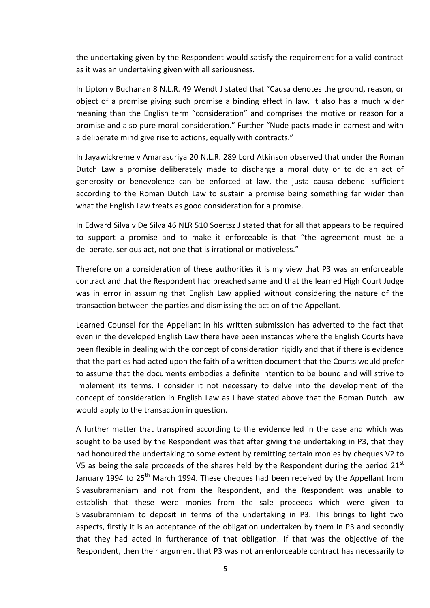the undertaking given by the Respondent would satisfy the requirement for a valid contract as it was an undertaking given with all seriousness.

In Lipton v Buchanan 8 N.L.R. 49 Wendt J stated that "Causa denotes the ground, reason, or object of a promise giving such promise a binding effect in law. It also has a much wider meaning than the English term "consideration" and comprises the motive or reason for a promise and also pure moral consideration." Further "Nude pacts made in earnest and with a deliberate mind give rise to actions, equally with contracts."

In Jayawickreme v Amarasuriya 20 N.L.R. 289 Lord Atkinson observed that under the Roman Dutch Law a promise deliberately made to discharge a moral duty or to do an act of generosity or benevolence can be enforced at law, the justa causa debendi sufficient according to the Roman Dutch Law to sustain a promise being something far wider than what the English Law treats as good consideration for a promise.

In Edward Silva v De Silva 46 NLR 510 Soertsz J stated that for all that appears to be required to support a promise and to make it enforceable is that "the agreement must be a deliberate, serious act, not one that is irrational or motiveless."

Therefore on a consideration of these authorities it is my view that P3 was an enforceable contract and that the Respondent had breached same and that the learned High Court Judge was in error in assuming that English Law applied without considering the nature of the transaction between the parties and dismissing the action of the Appellant.

Learned Counsel for the Appellant in his written submission has adverted to the fact that even in the developed English Law there have been instances where the English Courts have been flexible in dealing with the concept of consideration rigidly and that if there is evidence that the parties had acted upon the faith of a written document that the Courts would prefer to assume that the documents embodies a definite intention to be bound and will strive to implement its terms. I consider it not necessary to delve into the development of the concept of consideration in English Law as I have stated above that the Roman Dutch Law would apply to the transaction in question.

A further matter that transpired according to the evidence led in the case and which was sought to be used by the Respondent was that after giving the undertaking in P3, that they had honoured the undertaking to some extent by remitting certain monies by cheques V2 to V5 as being the sale proceeds of the shares held by the Respondent during the period  $21<sup>st</sup>$ January 1994 to 25<sup>th</sup> March 1994. These cheques had been received by the Appellant from Sivasubramaniam and not from the Respondent, and the Respondent was unable to establish that these were monies from the sale proceeds which were given to Sivasubramniam to deposit in terms of the undertaking in P3. This brings to light two aspects, firstly it is an acceptance of the obligation undertaken by them in P3 and secondly that they had acted in furtherance of that obligation. If that was the objective of the Respondent, then their argument that P3 was not an enforceable contract has necessarily to